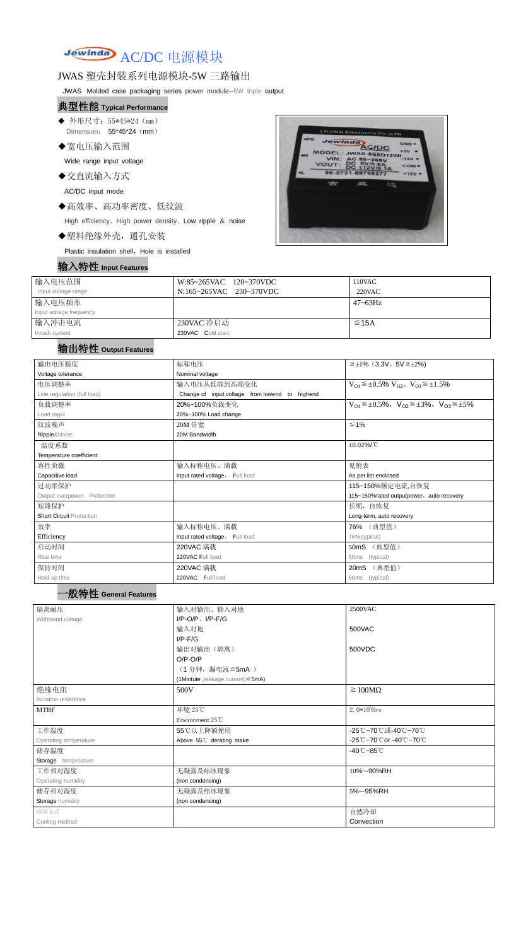# Jewinda AC/DC 电源模块

# JWAS 塑壳封装系列电源模块-5W 三路输出

JWAS Molded case packaging series power module--5W triple output

- ◆ 外形尺寸: 55\*45\*24 (mm) Dimension: 55\*45\*24 (mm)
- ◆宽电压输入范围

#### 典型性能 **Typical Performance**

Wide range input voltage

◆交直流输入方式

AC/DC input mode

◆高效率、高功率密度、低纹波

High efficiency、High power density、Low ripple & noise

◆塑料绝缘外壳,通孔安装

Plastic insulation shell, Hole is installed

### 输入特性 **Input Features**



| 输入电压范围                  | W:85~265VAC 120~370VDC  | 110VAC       |
|-------------------------|-------------------------|--------------|
| Input voltage range     | N:165~265VAC 230~370VDC | $220$ VAC    |
| 输入电压频率                  |                         | $47 - 63$ Hz |
| Input voltage frequency |                         |              |
| 输入冲击电流                  | 230VAC 冷启动              | $\leq$ 15A   |
| Inrush current          | 230VAC Cold start,      |              |

# 输出特性 **Output Features**

| 输出电压精度                          | 标称电压                                           | $\leq \pm 1\%$ (3.3V, 5V $\leq \pm 2\%$ )                               |  |  |
|---------------------------------|------------------------------------------------|-------------------------------------------------------------------------|--|--|
| Voltage tolerance               | Nominal voltage                                |                                                                         |  |  |
| 电压调整率                           | 输入电压从低端到高端变化                                   | $V_{O1} \leq \pm 0.5\% \ V_{O2}$ , $V_{O3} \leq \pm 1.5\%$              |  |  |
| Line regulation (full load)     | Change of input voltage from lowend to highend |                                                                         |  |  |
| 负载调整率                           | 20%~100%负载变化                                   | $V_{O1} \leq \pm 0.5\%$ , $V_{O2} \leq \pm 3\%$ , $V_{O3} \leq \pm 5\%$ |  |  |
| Load regul                      | 20%~100% Load change                           |                                                                         |  |  |
| 纹波噪声                            | 20M 带宽                                         | $≤ 1%$                                                                  |  |  |
| Ripple&Noise                    | 20M Bandwidth                                  |                                                                         |  |  |
| 温度系数                            |                                                | $\pm 0.02\%$ /°C                                                        |  |  |
| Temperature coefficient         |                                                |                                                                         |  |  |
| 容性负载                            | 输入标称电压、满载                                      | 见附表                                                                     |  |  |
| Capacitive load                 | Input rated voltage, Full load                 | As per list enclosed                                                    |  |  |
| 过功率保护                           |                                                | 115~150%额定电流,自恢复                                                        |  |  |
| Output overpower Protection     |                                                | 115~150%rated outputpower, auto recovery                                |  |  |
| 短路保护                            |                                                | 长期, 自恢复                                                                 |  |  |
| <b>Short Circuit Protection</b> |                                                | Long-term, auto recovery                                                |  |  |
| 效率                              | 输入标称电压、满载                                      | 76% (典型值)                                                               |  |  |
| Efficiency                      | Input rated voltage. Full load                 |                                                                         |  |  |
| 启动时间                            | 220VAC 满载                                      | 76%(typical)<br>50mS (典型值)                                              |  |  |
| Rise time                       | 220VAC Full load                               | 50ms (typical)                                                          |  |  |
| 保持时间                            |                                                |                                                                         |  |  |
|                                 | 220VAC 满载<br>220VAC Full load                  | 20mS (典型值)                                                              |  |  |
| Hold up time                    |                                                | 50ms (typical)                                                          |  |  |
| '般特性 General Features           |                                                |                                                                         |  |  |
| 隔离耐压                            | 输入对输出、输入对地                                     | 2500VAC                                                                 |  |  |
| Withstand voltage               | $I/P$ -O/P, $I/P$ -F/G                         |                                                                         |  |  |
|                                 | 输入对地                                           | 500VAC                                                                  |  |  |
|                                 | $I/P$ - $F/G$                                  |                                                                         |  |  |
|                                 | 输出对输出(隔离)                                      | 500VDC                                                                  |  |  |
|                                 | $O/P-O/P$                                      |                                                                         |  |  |
|                                 | (1分钟,漏电流 ≦ 5mA)                                |                                                                         |  |  |
|                                 | (1Mintute, leakage current) $\leq$ 5mA)        |                                                                         |  |  |
| 绝缘电阻                            | 500V                                           | $\geq 100M\Omega$                                                       |  |  |
| Isolation resistance            |                                                |                                                                         |  |  |
| <b>MTBF</b>                     | 环境 25℃                                         | 2. $0*10^5$ Hrs                                                         |  |  |
|                                 | Environment 25°C                               |                                                                         |  |  |
| 工作温度                            | 55℃以上降额使用                                      | -25℃~70℃或-40℃~70℃                                                       |  |  |
| Operating temperature           | Above 55°C derating make                       | -25℃~70℃or -40℃~70℃                                                     |  |  |
| 储存温度                            |                                                | $-40^{\circ}$ C $-85^{\circ}$ C                                         |  |  |
| Storage temperature             |                                                |                                                                         |  |  |
| 工作相对湿度                          | 无凝露及结冰现象                                       | 10%~-90%RH                                                              |  |  |
| Operating humidity              | (non condensing)                               |                                                                         |  |  |
| 储存相对湿度                          | 无凝露及结冰现象                                       | 5%~-95%RH                                                               |  |  |
| Storage humidity                | (non condensing)                               |                                                                         |  |  |
| 冷却方式                            |                                                | 自然冷却                                                                    |  |  |
| Cooling method                  |                                                | Convection                                                              |  |  |
|                                 |                                                |                                                                         |  |  |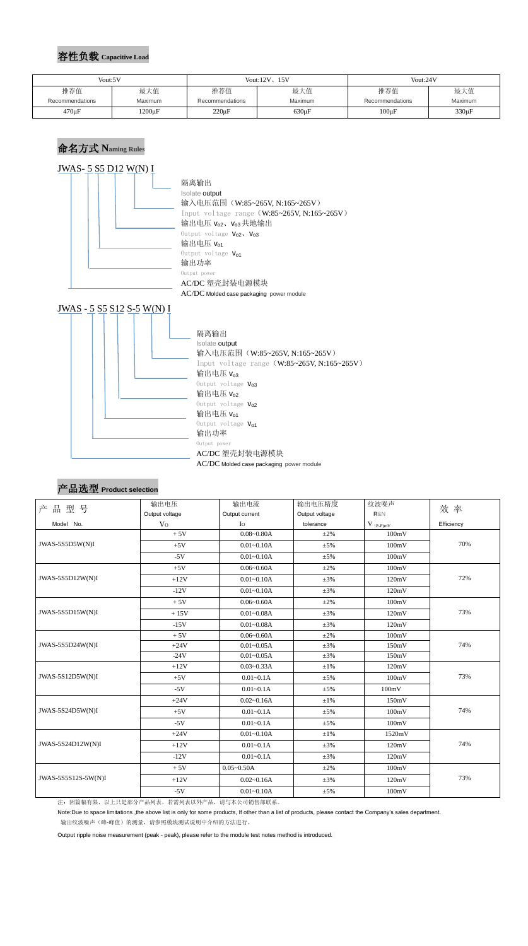#### 容性负载 **Capacitive Load**

### 命名方式 **Naming Rules**



# 产品选型 **Product selection**

| 产品型号                | 输出电压           | 输出电流<br>输出电压精度<br>Output current<br>Output voltage |                          | 纹波噪声   | 效率         |  |
|---------------------|----------------|----------------------------------------------------|--------------------------|--------|------------|--|
|                     | Output voltage |                                                    |                          | R&N    |            |  |
| Model No.           | V <sub>0</sub> | $I_{\rm O}$                                        | tolerance<br>$V$ (p-p)mV |        | Efficiency |  |
|                     | $+5V$          | $0.08 - 0.80A$                                     | $\pm 2\%$                | 100mV  |            |  |
| JWAS-5S5D5W(N)I     | $+5V$          | $0.01 - 0.10A$                                     | $\pm$ 5%                 | 100mV  | 70%        |  |
|                     | $-5V$          | $0.01 - 0.10A$                                     | $\pm$ 5%                 | 100mV  |            |  |
|                     | $+5V$          | $0.06 - 0.60A$                                     | $\pm 2\%$                | 100mV  |            |  |
| JWAS-5S5D12W(N)I    | $+12V$         | $0.01 - 0.10A$                                     | $\pm 3\%$                | 120mV  | 72%        |  |
|                     | $-12V$         | $0.01 - 0.10A$                                     | $\pm 3\%$                | 120mV  |            |  |
|                     | $+5V$          | $0.06 - 0.60A$                                     | $\pm 2\%$                | 100mV  |            |  |
| JWAS-5S5D15W(N)I    | $+15V$         | $0.01 - 0.08A$                                     | $\pm 3\%$                | 120mV  | 73%        |  |
|                     | $-15V$         | $0.01 - 0.08A$                                     | $\pm 3\%$                | 120mV  |            |  |
|                     | $+5V$          | $0.06 - 0.60A$                                     | $\pm 2\%$                | 100mV  | 74%        |  |
| JWAS-5S5D24W(N)I    | $+24V$         | $0.01 - 0.05A$                                     | $\pm 3\%$                | 150mV  |            |  |
|                     | $-24V$         | $0.01 - 0.05A$                                     | $\pm 3\%$                | 150mV  |            |  |
| JWAS-5S12D5W(N)I    | $+12V$         | $0.03 - 0.33A$                                     | $\pm 1\%$                | 120mV  |            |  |
|                     | $+5V$          | $0.01 - 0.1A$                                      | $\pm$ 5%                 | 100mV  | 73%        |  |
|                     | $-5V$          | $0.01 - 0.1A$                                      | $\pm$ 5%                 | 100mV  |            |  |
|                     | $+24V$         | $0.02 - 0.16A$                                     | $\pm 1\%$                | 150mV  |            |  |
| JWAS-5S24D5W(N)I    | $+5V$          | $0.01 - 0.1A$                                      | $\pm 5\%$                | 100mV  | 74%        |  |
|                     | $-5V$          | $0.01 - 0.1A$                                      | $\pm$ 5%                 | 100mV  |            |  |
| JWAS-5S24D12W(N)I   | $+24V$         | $0.01 - 0.10A$                                     | $\pm 1\%$                | 1520mV |            |  |
|                     | $+12V$         | $0.01 - 0.1A$                                      | $\pm 3\%$                | 120mV  | 74%        |  |
|                     | $-12V$         | $0.01 - 0.1A$                                      | $\pm 3\%$                | 120mV  |            |  |
|                     | $+5V$          | $0.05 - 0.50A$                                     | $\pm 2\%$                | 100mV  |            |  |
| JWAS-5S5S12S-5W(N)I | $+12V$         | $0.02 - 0.16A$<br>$\pm 3\%$<br>120mV               |                          |        | 73%        |  |
|                     | $-5V$          | $0.01 - 0.10A$                                     | $\pm 5\%$                | 100mV  |            |  |

注:因篇幅有限,以上只是部分产品列表,若需列表以外产品,请与本公司销售部联系。

Note:Due to space limitations ,the above list is only for some products, If other than a list of products, please contact the Company's sales department.

输出纹波噪声(峰-峰值)的测量,请参照模块测试说明中介绍的方法进行。

Output ripple noise measurement (peak - peak), please refer to the module test notes method is introduced.

| Vout:5V         |              |  | Vout: $12V$ , $15V$ | Vout:24V        |                |  |
|-----------------|--------------|--|---------------------|-----------------|----------------|--|
| 推荐值             | 最大值          |  | 最大值                 | 推荐值             | 最大值            |  |
| Recommendations | Maximum      |  | Maximum             | Recommendations | <b>Maximum</b> |  |
| $470 \mu F$     | $1200 \mu F$ |  | $630 \mu F$         | $100\mu F$      | 330µF          |  |